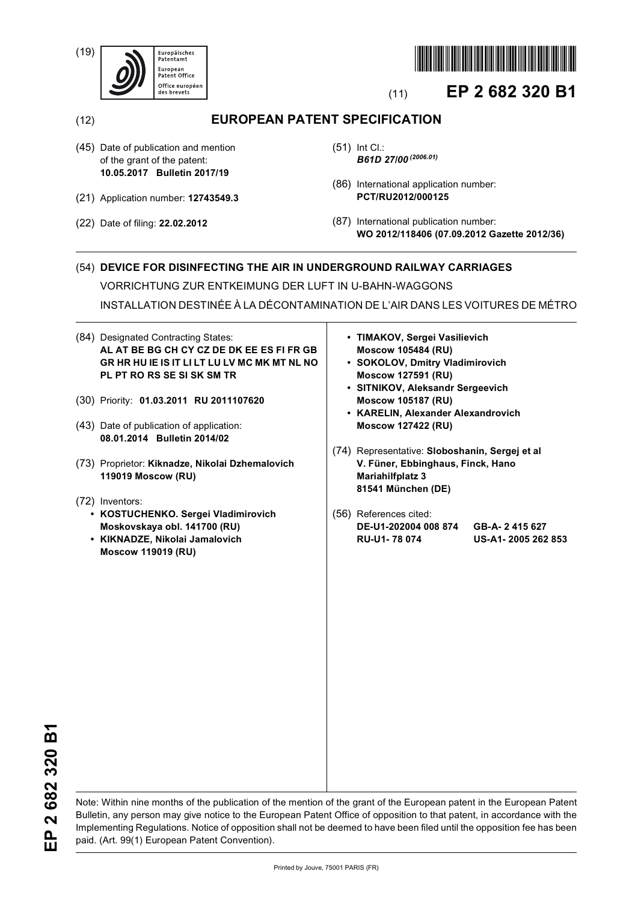(19)





# (11) **EP 2 682 320 B1**

(12) **EUROPEAN PATENT SPECIFICATION**

- (45) Date of publication and mention of the grant of the patent: **10.05.2017 Bulletin 2017/19**
- (21) Application number: **12743549.3**
- (22) Date of filing: **22.02.2012**
- (51) Int Cl.: *B61D 27/00 (2006.01)*
- (86) International application number: **PCT/RU2012/000125**
- (87) International publication number: **WO 2012/118406 (07.09.2012 Gazette 2012/36)**

### (54) **DEVICE FOR DISINFECTING THE AIR IN UNDERGROUND RAILWAY CARRIAGES**

VORRICHTUNG ZUR ENTKEIMUNG DER LUFT IN U-BAHN-WAGGONS

INSTALLATION DESTINÉE À LA DÉCONTAMINATION DE L'AIR DANS LES VOITURES DE MÉTRO

- (84) Designated Contracting States: **AL AT BE BG CH CY CZ DE DK EE ES FI FR GB GR HR HU IE IS IT LI LT LU LV MC MK MT NL NO PL PT RO RS SE SI SK SM TR**
- (30) Priority: **01.03.2011 RU 2011107620**
- (43) Date of publication of application: **08.01.2014 Bulletin 2014/02**
- (73) Proprietor: **Kiknadze, Nikolai Dzhemalovich 119019 Moscow (RU)**
- (72) Inventors:
	- **KOSTUCHENKO. Sergei Vladimirovich Moskovskaya obl. 141700 (RU)**
	- **KIKNADZE, Nikolai Jamalovich Moscow 119019 (RU)**
- **TIMAKOV, Sergei Vasilievich Moscow 105484 (RU)**
- **SOKOLOV, Dmitry Vladimirovich Moscow 127591 (RU)**
- **SITNIKOV, Aleksandr Sergeevich Moscow 105187 (RU)**
- **KARELIN, Alexander Alexandrovich Moscow 127422 (RU)**
- (74) Representative: **Sloboshanin, Sergej et al V. Füner, Ebbinghaus, Finck, Hano Mariahilfplatz 3 81541 München (DE)**
- (56) References cited: **DE-U1-202004 008 874 GB-A- 2 415 627 RU-U1- 78 074 US-A1- 2005 262 853**

Note: Within nine months of the publication of the mention of the grant of the European patent in the European Patent Bulletin, any person may give notice to the European Patent Office of opposition to that patent, in accordance with the Implementing Regulations. Notice of opposition shall not be deemed to have been filed until the opposition fee has been paid. (Art. 99(1) European Patent Convention).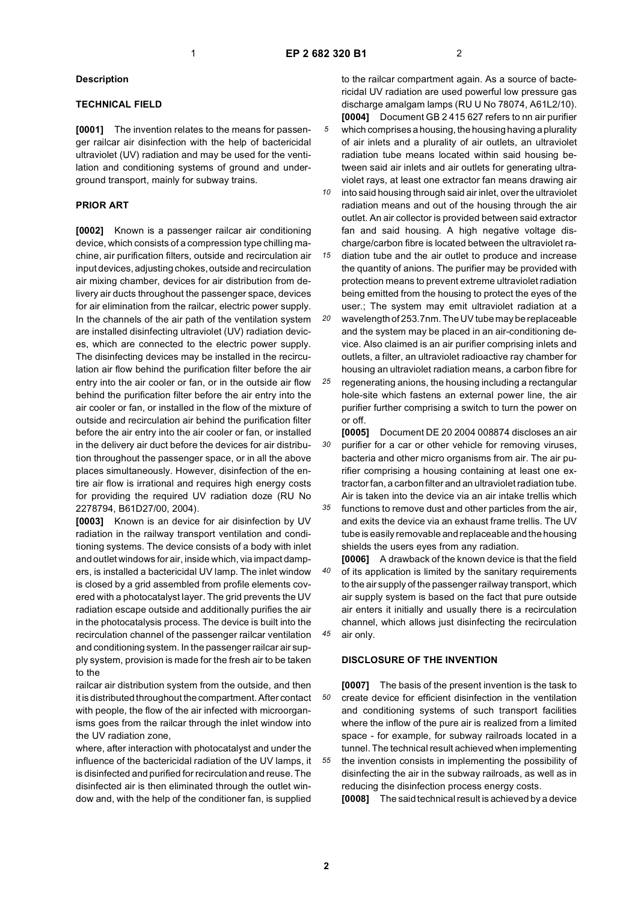*5*

#### **Description**

#### **TECHNICAL FIELD**

**[0001]** The invention relates to the means for passenger railcar air disinfection with the help of bactericidal ultraviolet (UV) radiation and may be used for the ventilation and conditioning systems of ground and underground transport, mainly for subway trains.

#### **PRIOR ART**

**[0002]** Known is a passenger railcar air conditioning device, which consists of a compression type chilling machine, air purification filters, outside and recirculation air input devices, adjusting chokes, outside and recirculation air mixing chamber, devices for air distribution from delivery air ducts throughout the passenger space, devices for air elimination from the railcar, electric power supply. In the channels of the air path of the ventilation system are installed disinfecting ultraviolet (UV) radiation devices, which are connected to the electric power supply. The disinfecting devices may be installed in the recirculation air flow behind the purification filter before the air entry into the air cooler or fan, or in the outside air flow behind the purification filter before the air entry into the air cooler or fan, or installed in the flow of the mixture of outside and recirculation air behind the purification filter before the air entry into the air cooler or fan, or installed in the delivery air duct before the devices for air distribution throughout the passenger space, or in all the above places simultaneously. However, disinfection of the entire air flow is irrational and requires high energy costs for providing the required UV radiation doze (RU No 2278794, B61D27/00, 2004).

**[0003]** Known is an device for air disinfection by UV radiation in the railway transport ventilation and conditioning systems. The device consists of a body with inlet and outlet windows for air, inside which, via impact dampers, is installed a bactericidal UV lamp. The inlet window is closed by a grid assembled from profile elements covered with a photocatalyst layer. The grid prevents the UV radiation escape outside and additionally purifies the air in the photocatalysis process. The device is built into the recirculation channel of the passenger railcar ventilation and conditioning system. In the passenger railcar air supply system, provision is made for the fresh air to be taken to the

railcar air distribution system from the outside, and then it is distributed throughout the compartment. After contact with people, the flow of the air infected with microorganisms goes from the railcar through the inlet window into the UV radiation zone,

where, after interaction with photocatalyst and under the influence of the bactericidal radiation of the UV lamps, it is disinfected and purified for recirculation and reuse. The disinfected air is then eliminated through the outlet window and, with the help of the conditioner fan, is supplied

to the railcar compartment again. As a source of bactericidal UV radiation are used powerful low pressure gas discharge amalgam lamps (RU U No 78074, A61L2/10). **[0004]** Document GB 2 415 627 refers to nn air purifier which comprises a housing, the housing having a plurality of air inlets and a plurality of air outlets, an ultraviolet radiation tube means located within said housing between said air inlets and air outlets for generating ultraviolet rays, at least one extractor fan means drawing air

*10 15* into said housing through said air inlet, over the ultraviolet radiation means and out of the housing through the air outlet. An air collector is provided between said extractor fan and said housing. A high negative voltage discharge/carbon fibre is located between the ultraviolet radiation tube and the air outlet to produce and increase

the quantity of anions. The purifier may be provided with protection means to prevent extreme ultraviolet radiation being emitted from the housing to protect the eyes of the user.; The system may emit ultraviolet radiation at a

*20 25* wavelength of 253.7nm. The UV tube may be replaceable and the system may be placed in an air-conditioning device. Also claimed is an air purifier comprising inlets and outlets, a filter, an ultraviolet radioactive ray chamber for housing an ultraviolet radiation means, a carbon fibre for regenerating anions, the housing including a rectangular hole-site which fastens an external power line, the air purifier further comprising a switch to turn the power on or off.

*30* **[0005]** Document DE 20 2004 008874 discloses an air purifier for a car or other vehicle for removing viruses, bacteria and other micro organisms from air. The air purifier comprising a housing containing at least one extractor fan, a carbon filter and an ultraviolet radiation tube. Air is taken into the device via an air intake trellis which

*35* functions to remove dust and other particles from the air, and exits the device via an exhaust frame trellis. The UV tube is easily removable and replaceable and the housing shields the users eyes from any radiation.

*40 45* **[0006]** A drawback of the known device is that the field of its application is limited by the sanitary requirements to the air supply of the passenger railway transport, which air supply system is based on the fact that pure outside air enters it initially and usually there is a recirculation channel, which allows just disinfecting the recirculation air only.

#### **DISCLOSURE OF THE INVENTION**

*50 55* **[0007]** The basis of the present invention is the task to create device for efficient disinfection in the ventilation and conditioning systems of such transport facilities where the inflow of the pure air is realized from a limited space - for example, for subway railroads located in a tunnel. The technical result achieved when implementing the invention consists in implementing the possibility of disinfecting the air in the subway railroads, as well as in reducing the disinfection process energy costs.

**[0008]** The said technical result is achieved by a device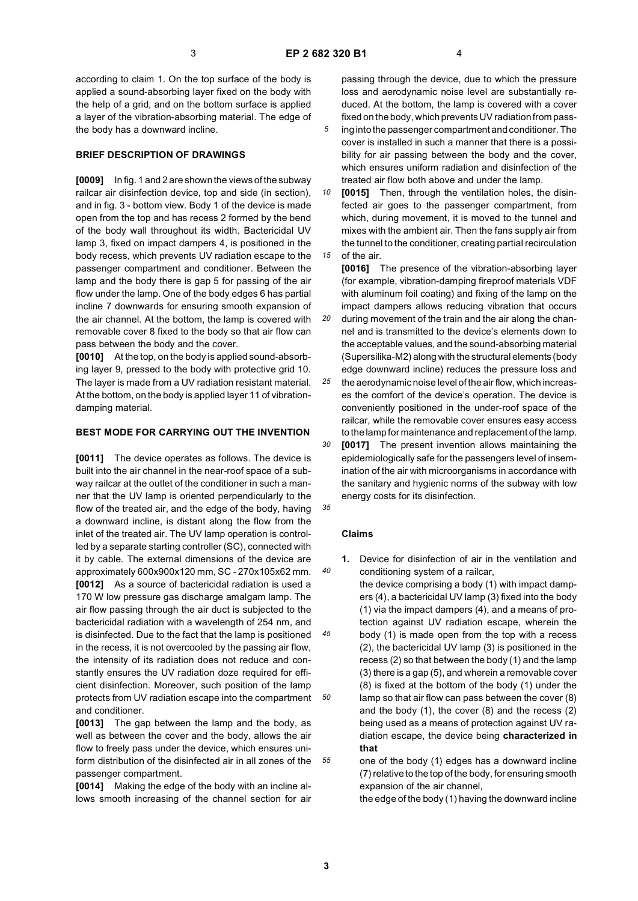*5*

*20*

according to claim 1. On the top surface of the body is applied a sound-absorbing layer fixed on the body with the help of a grid, and on the bottom surface is applied a layer of the vibration-absorbing material. The edge of the body has a downward incline.

#### **BRIEF DESCRIPTION OF DRAWINGS**

**[0009]** In fig. 1 and 2 are shown the views of the subway railcar air disinfection device, top and side (in section), and in fig. 3 - bottom view. Body 1 of the device is made open from the top and has recess 2 formed by the bend of the body wall throughout its width. Bactericidal UV lamp 3, fixed on impact dampers 4, is positioned in the body recess, which prevents UV radiation escape to the passenger compartment and conditioner. Between the lamp and the body there is gap 5 for passing of the air flow under the lamp. One of the body edges 6 has partial incline 7 downwards for ensuring smooth expansion of the air channel. At the bottom, the lamp is covered with removable cover 8 fixed to the body so that air flow can pass between the body and the cover.

**[0010]** At the top, on the body is applied sound-absorbing layer 9, pressed to the body with protective grid 10. The layer is made from a UV radiation resistant material. At the bottom, on the body is applied layer 11 of vibrationdamping material.

#### **BEST MODE FOR CARRYING OUT THE INVENTION**

**[0011]** The device operates as follows. The device is built into the air channel in the near-roof space of a subway railcar at the outlet of the conditioner in such a manner that the UV lamp is oriented perpendicularly to the flow of the treated air, and the edge of the body, having a downward incline, is distant along the flow from the inlet of the treated air. The UV lamp operation is controlled by a separate starting controller (SC), connected with it by cable. The external dimensions of the device are approximately 600x900x120 mm, SC - 270x105x62 mm. **[0012]** As a source of bactericidal radiation is used a 170 W low pressure gas discharge amalgam lamp. The air flow passing through the air duct is subjected to the bactericidal radiation with a wavelength of 254 nm, and is disinfected. Due to the fact that the lamp is positioned in the recess, it is not overcooled by the passing air flow, the intensity of its radiation does not reduce and constantly ensures the UV radiation doze required for efficient disinfection. Moreover, such position of the lamp protects from UV radiation escape into the compartment and conditioner.

**[0013]** The gap between the lamp and the body, as well as between the cover and the body, allows the air flow to freely pass under the device, which ensures uniform distribution of the disinfected air in all zones of the passenger compartment.

**[0014]** Making the edge of the body with an incline allows smooth increasing of the channel section for air

passing through the device, due to which the pressure loss and aerodynamic noise level are substantially reduced. At the bottom, the lamp is covered with a cover fixed on the body, which prevents UV radiation from passing into the passenger compartment and conditioner. The

- cover is installed in such a manner that there is a possibility for air passing between the body and the cover, which ensures uniform radiation and disinfection of the treated air flow both above and under the lamp.
- *10 15* **[0015]** Then, through the ventilation holes, the disinfected air goes to the passenger compartment, from which, during movement, it is moved to the tunnel and mixes with the ambient air. Then the fans supply air from the tunnel to the conditioner, creating partial recirculation of the air.

**[0016]** The presence of the vibration-absorbing layer (for example, vibration-damping fireproof materials VDF with aluminum foil coating) and fixing of the lamp on the impact dampers allows reducing vibration that occurs during movement of the train and the air along the chan-

nel and is transmitted to the device's elements down to the acceptable values, and the sound-absorbing material (Supersilika-M2) along with the structural elements (body edge downward incline) reduces the pressure loss and

*25* the aerodynamic noise level of the air flow, which increases the comfort of the device's operation. The device is conveniently positioned in the under-roof space of the railcar, while the removable cover ensures easy access to the lamp for maintenance and replacement of the lamp.

*30* **[0017]** The present invention allows maintaining the epidemiologically safe for the passengers level of insemination of the air with microorganisms in accordance with the sanitary and hygienic norms of the subway with low energy costs for its disinfection.

## *35*

*40*

*45*

*50*

*55*

## **Claims**

- **1.** Device for disinfection of air in the ventilation and conditioning system of a railcar,
- the device comprising a body (1) with impact dampers (4), a bactericidal UV lamp (3) fixed into the body (1) via the impact dampers (4), and a means of protection against UV radiation escape, wherein the body (1) is made open from the top with a recess (2), the bactericidal UV lamp (3) is positioned in the recess (2) so that between the body (1) and the lamp (3) there is a gap (5), and wherein a removable cover (8) is fixed at the bottom of the body (1) under the lamp so that air flow can pass between the cover (8) and the body (1), the cover (8) and the recess (2) being used as a means of protection against UV radiation escape, the device being **characterized in that**

one of the body (1) edges has a downward incline (7) relative to the top of the body, for ensuring smooth expansion of the air channel,

the edge of the body (1) having the downward incline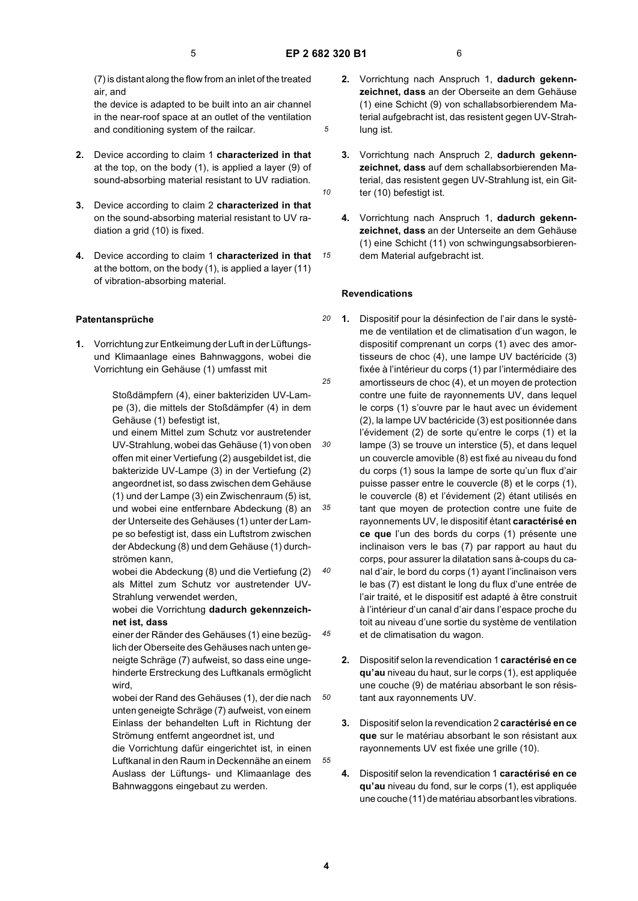*5*

*10*

*15*

(7) is distant along the flow from an inlet of the treated air, and

the device is adapted to be built into an air channel in the near-roof space at an outlet of the ventilation and conditioning system of the railcar.

- **2.** Device according to claim 1 **characterized in that** at the top, on the body (1), is applied a layer (9) of sound-absorbing material resistant to UV radiation.
- **3.** Device according to claim 2 **characterized in that** on the sound-absorbing material resistant to UV radiation a grid (10) is fixed.
- **4.** Device according to claim 1 **characterized in that** at the bottom, on the body (1), is applied a layer (11) of vibration-absorbing material.

#### **Patentansprüche**

**1.** Vorrichtung zur Entkeimung der Luft in der Lüftungsund Klimaanlage eines Bahnwaggons, wobei die Vorrichtung ein Gehäuse (1) umfasst mit

> Stoßdämpfern (4), einer bakteriziden UV-Lampe (3), die mittels der Stoßdämpfer (4) in dem Gehäuse (1) befestigt ist,

und einem Mittel zum Schutz vor austretender UV-Strahlung, wobei das Gehäuse (1) von oben offen mit einer Vertiefung (2) ausgebildet ist, die bakterizide UV-Lampe (3) in der Vertiefung (2) angeordnet ist, so dass zwischen dem Gehäuse (1) und der Lampe (3) ein Zwischenraum (5) ist, und wobei eine entfernbare Abdeckung (8) an der Unterseite des Gehäuses (1) unter der Lampe so befestigt ist, dass ein Luftstrom zwischen der Abdeckung (8) und dem Gehäuse (1) durchströmen kann,

wobei die Abdeckung (8) und die Vertiefung (2) als Mittel zum Schutz vor austretender UV-Strahlung verwendet werden,

wobei die Vorrichtung **dadurch gekennzeichnet ist, dass**

einer der Ränder des Gehäuses (1) eine bezüglich der Oberseite des Gehäuses nach unten geneigte Schräge (7) aufweist, so dass eine ungehinderte Erstreckung des Luftkanals ermöglicht wird,

wobei der Rand des Gehäuses (1), der die nach unten geneigte Schräge (7) aufweist, von einem Einlass der behandelten Luft in Richtung der Strömung entfernt angeordnet ist, und

die Vorrichtung dafür eingerichtet ist, in einen Luftkanal in den Raum in Deckennähe an einem Auslass der Lüftungs- und Klimaanlage des Bahnwaggons eingebaut zu werden.

- **2.** Vorrichtung nach Anspruch 1, **dadurch gekennzeichnet, dass** an der Oberseite an dem Gehäuse (1) eine Schicht (9) von schallabsorbierendem Material aufgebracht ist, das resistent gegen UV-Strahlung ist.
- **3.** Vorrichtung nach Anspruch 2, **dadurch gekennzeichnet, dass** auf dem schallabsorbierenden Material, das resistent gegen UV-Strahlung ist, ein Gitter (10) befestigt ist.
- **4.** Vorrichtung nach Anspruch 1, **dadurch gekennzeichnet, dass** an der Unterseite an dem Gehäuse (1) eine Schicht (11) von schwingungsabsorbierendem Material aufgebracht ist.

#### **Revendications**

- *20 25 30 35 40 45* **1.** Dispositif pour la désinfection de l'air dans le système de ventilation et de climatisation d'un wagon, le dispositif comprenant un corps (1) avec des amortisseurs de choc (4), une lampe UV bactéricide (3) fixée à l'intérieur du corps (1) par l'intermédiaire des amortisseurs de choc (4), et un moyen de protection contre une fuite de rayonnements UV, dans lequel le corps (1) s'ouvre par le haut avec un évidement (2), la lampe UV bactéricide (3) est positionnée dans l'évidement (2) de sorte qu'entre le corps (1) et la lampe (3) se trouve un interstice (5), et dans lequel un couvercle amovible (8) est fixé au niveau du fond du corps (1) sous la lampe de sorte qu'un flux d'air puisse passer entre le couvercle (8) et le corps (1), le couvercle (8) et l'évidement (2) étant utilisés en tant que moyen de protection contre une fuite de rayonnements UV, le dispositif étant **caractérisé en ce que** l'un des bords du corps (1) présente une inclinaison vers le bas (7) par rapport au haut du corps, pour assurer la dilatation sans à-coups du canal d'air, le bord du corps (1) ayant l'inclinaison vers le bas (7) est distant le long du flux d'une entrée de l'air traité, et le dispositif est adapté à être construit à l'intérieur d'un canal d'air dans l'espace proche du toit au niveau d'une sortie du système de ventilation et de climatisation du wagon.
	- **2.** Dispositif selon la revendication 1 **caractérisé en ce qu'au** niveau du haut, sur le corps (1), est appliquée une couche (9) de matériau absorbant le son résistant aux rayonnements UV.
	- **3.** Dispositif selon la revendication 2 **caractérisé en ce que** sur le matériau absorbant le son résistant aux rayonnements UV est fixée une grille (10).
	- **4.** Dispositif selon la revendication 1 **caractérisé en ce qu'au** niveau du fond, sur le corps (1), est appliquée une couche (11) de matériau absorbant les vibrations.

*50*

*55*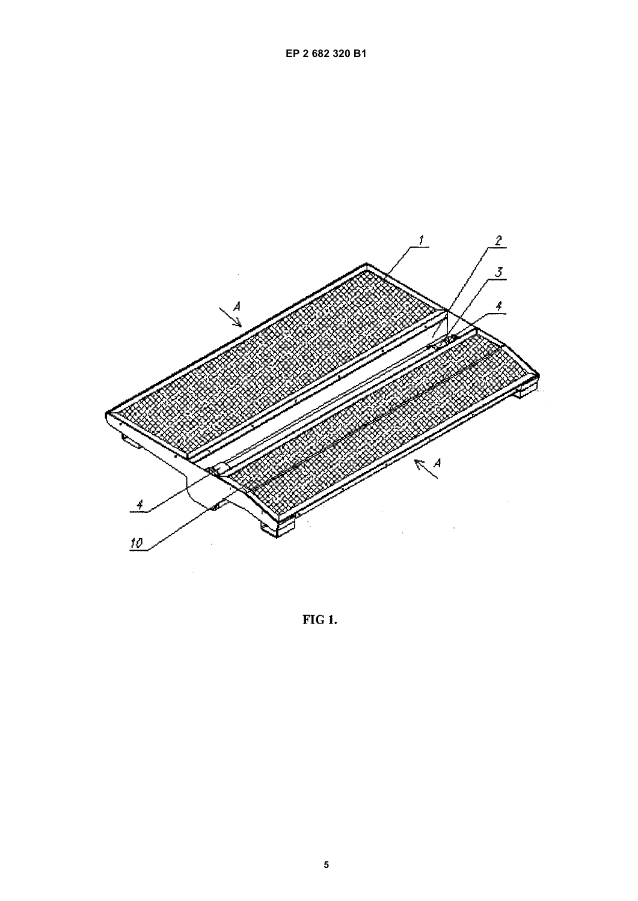

FIG 1.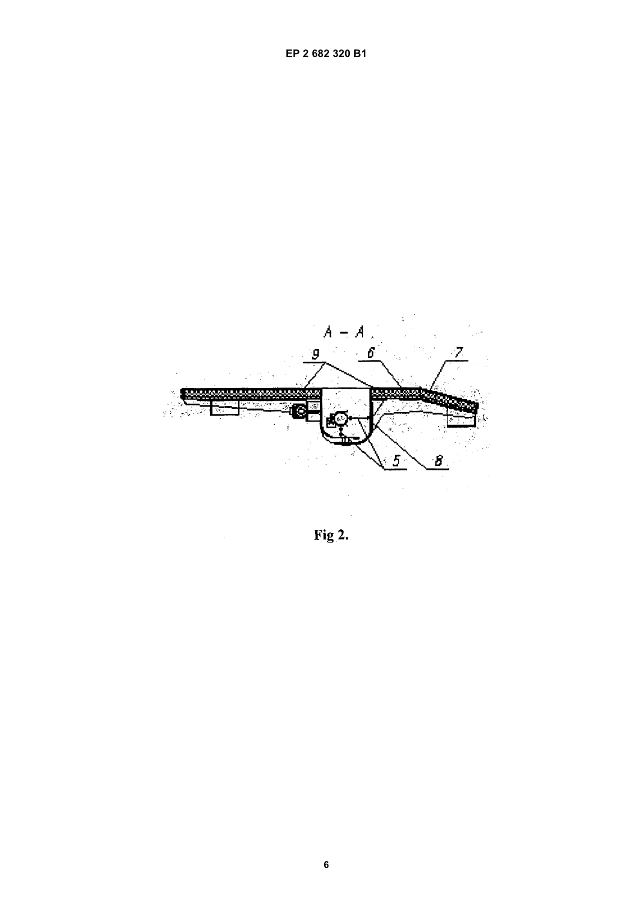

Fig 2.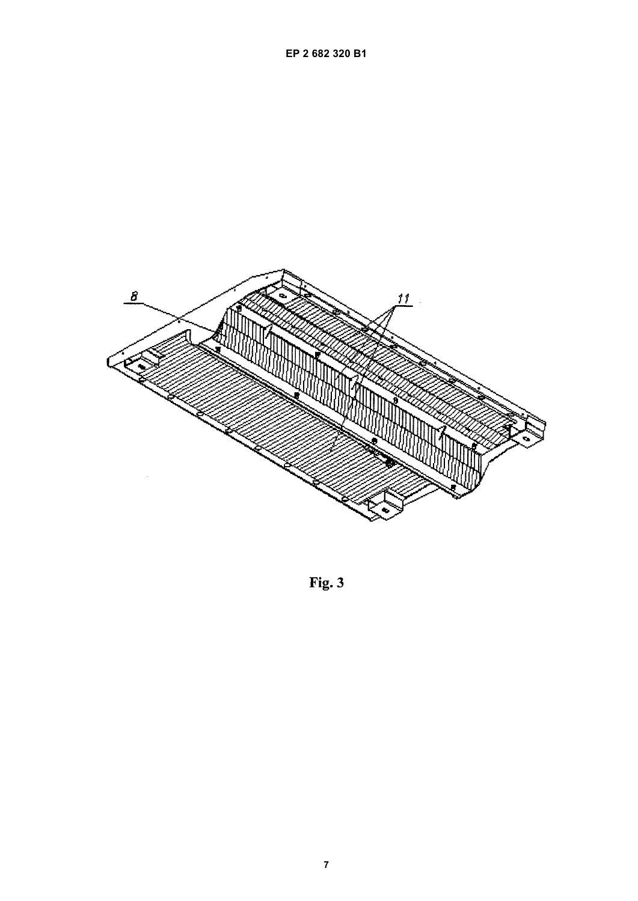

Fig. 3